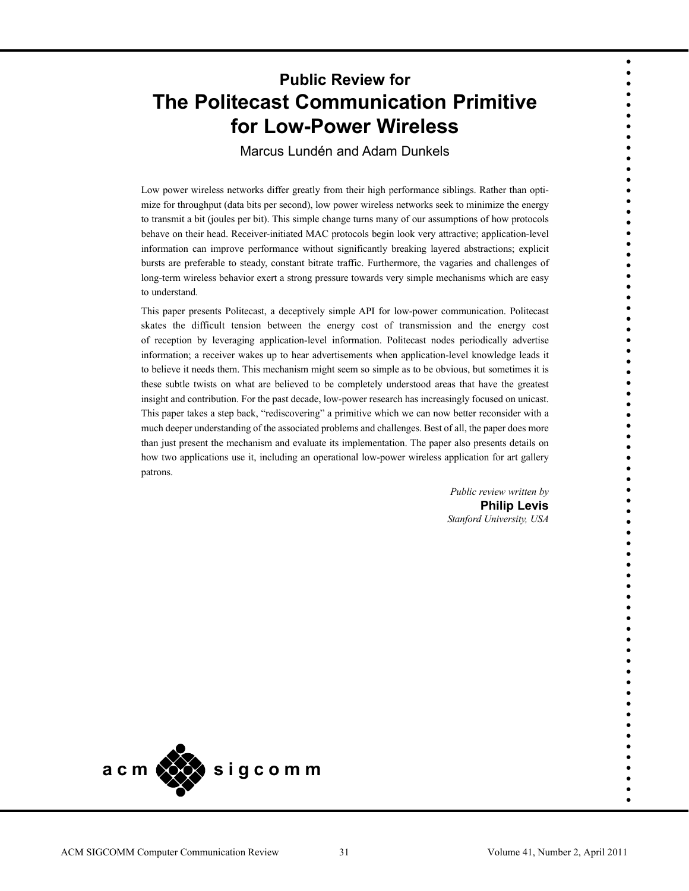# **Public Review for The Politecast Communication Primitive for Low-Power Wireless**

Marcus Lundén and Adam Dunkels

Low power wireless networks differ greatly from their high performance siblings. Rather than optimize for throughput (data bits per second), low power wireless networks seek to minimize the energy to transmit a bit (joules per bit). This simple change turns many of our assumptions of how protocols behave on their head. Receiver-initiated MAC protocols begin look very attractive; application-level information can improve performance without significantly breaking layered abstractions; explicit bursts are preferable to steady, constant bitrate traffic. Furthermore, the vagaries and challenges of long-term wireless behavior exert a strong pressure towards very simple mechanisms which are easy to understand.

This paper presents Politecast, a deceptively simple API for low-power communication. Politecast skates the difficult tension between the energy cost of transmission and the energy cost of reception by leveraging application-level information. Politecast nodes periodically advertise information; a receiver wakes up to hear advertisements when application-level knowledge leads it to believe it needs them. This mechanism might seem so simple as to be obvious, but sometimes it is these subtle twists on what are believed to be completely understood areas that have the greatest insight and contribution. For the past decade, low-power research has increasingly focused on unicast. This paper takes a step back, "rediscovering" a primitive which we can now better reconsider with a much deeper understanding of the associated problems and challenges. Best of all, the paper does more than just present the mechanism and evaluate its implementation. The paper also presents details on how two applications use it, including an operational low-power wireless application for art gallery patrons.

> *Public review written by* **Philip Levis**  *Stanford University, USA*

• • • • • • • • • • • • • • • • • • • • • • • • • • • • • • • • • • • • • • • • • • • • • • • • • • • • • • • • • • • • • • • • • • • • • •

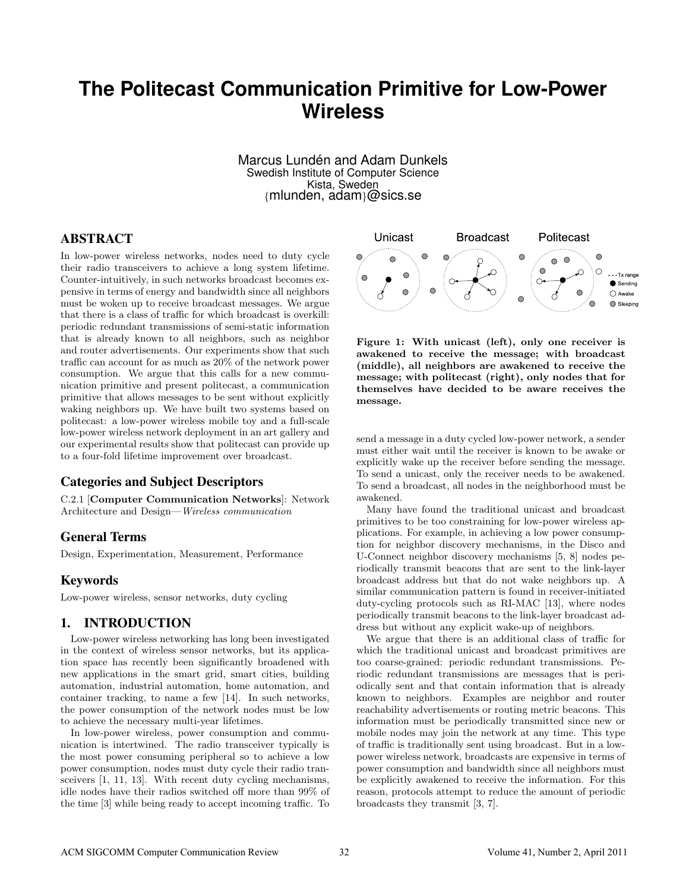# **The Politecast Communication Primitive for Low-Power Wireless**

Marcus Lundén and Adam Dunkels Swedish Institute of Computer Science Kista, Sweden {mlunden, adam}@sics.se

## ABSTRACT

In low-power wireless networks, nodes need to duty cycle their radio transceivers to achieve a long system lifetime. Counter-intuitively, in such networks broadcast becomes expensive in terms of energy and bandwidth since all neighbors must be woken up to receive broadcast messages. We argue that there is a class of traffic for which broadcast is overkill: periodic redundant transmissions of semi-static information that is already known to all neighbors, such as neighbor and router advertisements. Our experiments show that such traffic can account for as much as 20% of the network power consumption. We argue that this calls for a new communication primitive and present politecast, a communication primitive that allows messages to be sent without explicitly waking neighbors up. We have built two systems based on politecast: a low-power wireless mobile toy and a full-scale low-power wireless network deployment in an art gallery and our experimental results show that politecast can provide up to a four-fold lifetime improvement over broadcast.

## Categories and Subject Descriptors

C.2.1 [Computer Communication Networks]: Network Architecture and Design—Wireless communication

### General Terms

Design, Experimentation, Measurement, Performance

## Keywords

Low-power wireless, sensor networks, duty cycling

## 1. INTRODUCTION

Low-power wireless networking has long been investigated in the context of wireless sensor networks, but its application space has recently been significantly broadened with new applications in the smart grid, smart cities, building automation, industrial automation, home automation, and container tracking, to name a few [14]. In such networks, the power consumption of the network nodes must be low to achieve the necessary multi-year lifetimes.

In low-power wireless, power consumption and communication is intertwined. The radio transceiver typically is the most power consuming peripheral so to achieve a low power consumption, nodes must duty cycle their radio transceivers [1, 11, 13]. With recent duty cycling mechanisms, idle nodes have their radios switched off more than 99% of the time [3] while being ready to accept incoming traffic. To



Figure 1: With unicast (left), only one receiver is awakened to receive the message; with broadcast (middle), all neighbors are awakened to receive the message; with politecast (right), only nodes that for themselves have decided to be aware receives the message.

send a message in a duty cycled low-power network, a sender must either wait until the receiver is known to be awake or explicitly wake up the receiver before sending the message. To send a unicast, only the receiver needs to be awakened. To send a broadcast, all nodes in the neighborhood must be awakened.

Many have found the traditional unicast and broadcast primitives to be too constraining for low-power wireless applications. For example, in achieving a low power consumption for neighbor discovery mechanisms, in the Disco and U-Connect neighbor discovery mechanisms [5, 8] nodes periodically transmit beacons that are sent to the link-layer broadcast address but that do not wake neighbors up. A similar communication pattern is found in receiver-initiated duty-cycling protocols such as RI-MAC [13], where nodes periodically transmit beacons to the link-layer broadcast address but without any explicit wake-up of neighbors.

We argue that there is an additional class of traffic for which the traditional unicast and broadcast primitives are too coarse-grained: periodic redundant transmissions. Periodic redundant transmissions are messages that is periodically sent and that contain information that is already known to neighbors. Examples are neighbor and router reachability advertisements or routing metric beacons. This information must be periodically transmitted since new or mobile nodes may join the network at any time. This type of traffic is traditionally sent using broadcast. But in a lowpower wireless network, broadcasts are expensive in terms of power consumption and bandwidth since all neighbors must be explicitly awakened to receive the information. For this reason, protocols attempt to reduce the amount of periodic broadcasts they transmit [3, 7].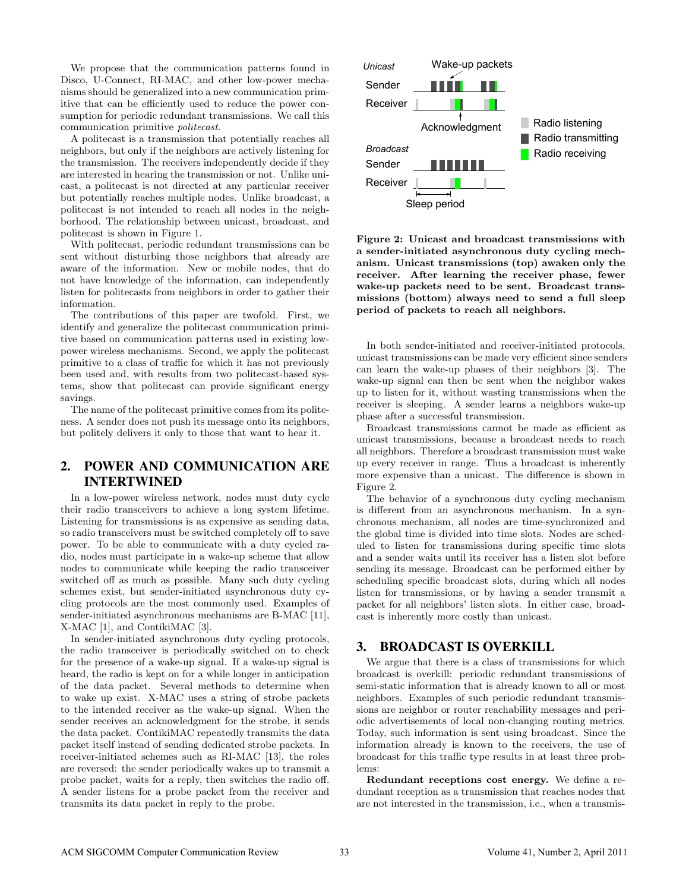We propose that the communication patterns found in Disco, U-Connect, RI-MAC, and other low-power mechanisms should be generalized into a new communication primitive that can be efficiently used to reduce the power consumption for periodic redundant transmissions. We call this communication primitive politecast.

A politecast is a transmission that potentially reaches all neighbors, but only if the neighbors are actively listening for the transmission. The receivers independently decide if they are interested in hearing the transmission or not. Unlike unicast, a politecast is not directed at any particular receiver but potentially reaches multiple nodes. Unlike broadcast, a politecast is not intended to reach all nodes in the neighborhood. The relationship between unicast, broadcast, and politecast is shown in Figure 1.

With politecast, periodic redundant transmissions can be sent without disturbing those neighbors that already are aware of the information. New or mobile nodes, that do not have knowledge of the information, can independently listen for politecasts from neighbors in order to gather their information.

The contributions of this paper are twofold. First, we identify and generalize the politecast communication primitive based on communication patterns used in existing lowpower wireless mechanisms. Second, we apply the politecast primitive to a class of traffic for which it has not previously been used and, with results from two politecast-based systems, show that politecast can provide significant energy savings.

The name of the politecast primitive comes from its politeness. A sender does not push its message onto its neighbors, but politely delivers it only to those that want to hear it.

# 2. POWER AND COMMUNICATION ARE INTERTWINED

In a low-power wireless network, nodes must duty cycle their radio transceivers to achieve a long system lifetime. Listening for transmissions is as expensive as sending data, so radio transceivers must be switched completely off to save power. To be able to communicate with a duty cycled radio, nodes must participate in a wake-up scheme that allow nodes to communicate while keeping the radio transceiver switched off as much as possible. Many such duty cycling schemes exist, but sender-initiated asynchronous duty cycling protocols are the most commonly used. Examples of sender-initiated asynchronous mechanisms are B-MAC [11], X-MAC [1], and ContikiMAC [3].

In sender-initiated asynchronous duty cycling protocols, the radio transceiver is periodically switched on to check for the presence of a wake-up signal. If a wake-up signal is heard, the radio is kept on for a while longer in anticipation of the data packet. Several methods to determine when to wake up exist. X-MAC uses a string of strobe packets to the intended receiver as the wake-up signal. When the sender receives an acknowledgment for the strobe, it sends the data packet. ContikiMAC repeatedly transmits the data packet itself instead of sending dedicated strobe packets. In receiver-initiated schemes such as RI-MAC [13], the roles are reversed: the sender periodically wakes up to transmit a probe packet, waits for a reply, then switches the radio off. A sender listens for a probe packet from the receiver and transmits its data packet in reply to the probe.



Figure 2: Unicast and broadcast transmissions with a sender-initiated asynchronous duty cycling mechanism. Unicast transmissions (top) awaken only the receiver. After learning the receiver phase, fewer wake-up packets need to be sent. Broadcast transmissions (bottom) always need to send a full sleep period of packets to reach all neighbors.

In both sender-initiated and receiver-initiated protocols, unicast transmissions can be made very efficient since senders can learn the wake-up phases of their neighbors [3]. The wake-up signal can then be sent when the neighbor wakes up to listen for it, without wasting transmissions when the receiver is sleeping. A sender learns a neighbors wake-up phase after a successful transmission.

Broadcast transmissions cannot be made as efficient as unicast transmissions, because a broadcast needs to reach all neighbors. Therefore a broadcast transmission must wake up every receiver in range. Thus a broadcast is inherently more expensive than a unicast. The difference is shown in Figure 2.

The behavior of a synchronous duty cycling mechanism is different from an asynchronous mechanism. In a synchronous mechanism, all nodes are time-synchronized and the global time is divided into time slots. Nodes are scheduled to listen for transmissions during specific time slots and a sender waits until its receiver has a listen slot before sending its message. Broadcast can be performed either by scheduling specific broadcast slots, during which all nodes listen for transmissions, or by having a sender transmit a packet for all neighbors' listen slots. In either case, broadcast is inherently more costly than unicast.

## 3. BROADCAST IS OVERKILL

We argue that there is a class of transmissions for which broadcast is overkill: periodic redundant transmissions of semi-static information that is already known to all or most neighbors. Examples of such periodic redundant transmissions are neighbor or router reachability messages and periodic advertisements of local non-changing routing metrics. Today, such information is sent using broadcast. Since the information already is known to the receivers, the use of broadcast for this traffic type results in at least three problems:

Redundant receptions cost energy. We define a redundant reception as a transmission that reaches nodes that are not interested in the transmission, i.e., when a transmis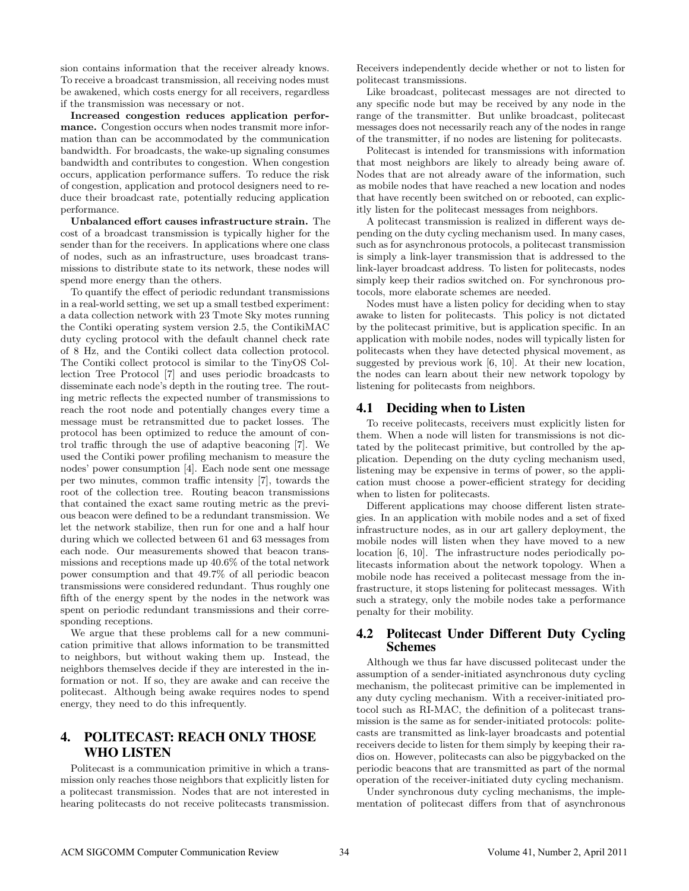sion contains information that the receiver already knows. To receive a broadcast transmission, all receiving nodes must be awakened, which costs energy for all receivers, regardless if the transmission was necessary or not.

Increased congestion reduces application performance. Congestion occurs when nodes transmit more information than can be accommodated by the communication bandwidth. For broadcasts, the wake-up signaling consumes bandwidth and contributes to congestion. When congestion occurs, application performance suffers. To reduce the risk of congestion, application and protocol designers need to reduce their broadcast rate, potentially reducing application performance.

Unbalanced effort causes infrastructure strain. The cost of a broadcast transmission is typically higher for the sender than for the receivers. In applications where one class of nodes, such as an infrastructure, uses broadcast transmissions to distribute state to its network, these nodes will spend more energy than the others.

To quantify the effect of periodic redundant transmissions in a real-world setting, we set up a small testbed experiment: a data collection network with 23 Tmote Sky motes running the Contiki operating system version 2.5, the ContikiMAC duty cycling protocol with the default channel check rate of 8 Hz, and the Contiki collect data collection protocol. The Contiki collect protocol is similar to the TinyOS Collection Tree Protocol [7] and uses periodic broadcasts to disseminate each node's depth in the routing tree. The routing metric reflects the expected number of transmissions to reach the root node and potentially changes every time a message must be retransmitted due to packet losses. The protocol has been optimized to reduce the amount of control traffic through the use of adaptive beaconing [7]. We used the Contiki power profiling mechanism to measure the nodes' power consumption [4]. Each node sent one message per two minutes, common traffic intensity [7], towards the root of the collection tree. Routing beacon transmissions that contained the exact same routing metric as the previous beacon were defined to be a redundant transmission. We let the network stabilize, then run for one and a half hour during which we collected between 61 and 63 messages from each node. Our measurements showed that beacon transmissions and receptions made up 40.6% of the total network power consumption and that 49.7% of all periodic beacon transmissions were considered redundant. Thus roughly one fifth of the energy spent by the nodes in the network was spent on periodic redundant transmissions and their corresponding receptions.

We argue that these problems call for a new communication primitive that allows information to be transmitted to neighbors, but without waking them up. Instead, the neighbors themselves decide if they are interested in the information or not. If so, they are awake and can receive the politecast. Although being awake requires nodes to spend energy, they need to do this infrequently.

# 4. POLITECAST: REACH ONLY THOSE WHO LISTEN

Politecast is a communication primitive in which a transmission only reaches those neighbors that explicitly listen for a politecast transmission. Nodes that are not interested in hearing politecasts do not receive politecasts transmission.

Receivers independently decide whether or not to listen for politecast transmissions.

Like broadcast, politecast messages are not directed to any specific node but may be received by any node in the range of the transmitter. But unlike broadcast, politecast messages does not necessarily reach any of the nodes in range of the transmitter, if no nodes are listening for politecasts.

Politecast is intended for transmissions with information that most neighbors are likely to already being aware of. Nodes that are not already aware of the information, such as mobile nodes that have reached a new location and nodes that have recently been switched on or rebooted, can explicitly listen for the politecast messages from neighbors.

A politecast transmission is realized in different ways depending on the duty cycling mechanism used. In many cases, such as for asynchronous protocols, a politecast transmission is simply a link-layer transmission that is addressed to the link-layer broadcast address. To listen for politecasts, nodes simply keep their radios switched on. For synchronous protocols, more elaborate schemes are needed.

Nodes must have a listen policy for deciding when to stay awake to listen for politecasts. This policy is not dictated by the politecast primitive, but is application specific. In an application with mobile nodes, nodes will typically listen for politecasts when they have detected physical movement, as suggested by previous work [6, 10]. At their new location, the nodes can learn about their new network topology by listening for politecasts from neighbors.

#### 4.1 Deciding when to Listen

To receive politecasts, receivers must explicitly listen for them. When a node will listen for transmissions is not dictated by the politecast primitive, but controlled by the application. Depending on the duty cycling mechanism used, listening may be expensive in terms of power, so the application must choose a power-efficient strategy for deciding when to listen for politecasts.

Different applications may choose different listen strategies. In an application with mobile nodes and a set of fixed infrastructure nodes, as in our art gallery deployment, the mobile nodes will listen when they have moved to a new location [6, 10]. The infrastructure nodes periodically politecasts information about the network topology. When a mobile node has received a politecast message from the infrastructure, it stops listening for politecast messages. With such a strategy, only the mobile nodes take a performance penalty for their mobility.

## 4.2 Politecast Under Different Duty Cycling Schemes

Although we thus far have discussed politecast under the assumption of a sender-initiated asynchronous duty cycling mechanism, the politecast primitive can be implemented in any duty cycling mechanism. With a receiver-initiated protocol such as RI-MAC, the definition of a politecast transmission is the same as for sender-initiated protocols: politecasts are transmitted as link-layer broadcasts and potential receivers decide to listen for them simply by keeping their radios on. However, politecasts can also be piggybacked on the periodic beacons that are transmitted as part of the normal operation of the receiver-initiated duty cycling mechanism.

Under synchronous duty cycling mechanisms, the implementation of politecast differs from that of asynchronous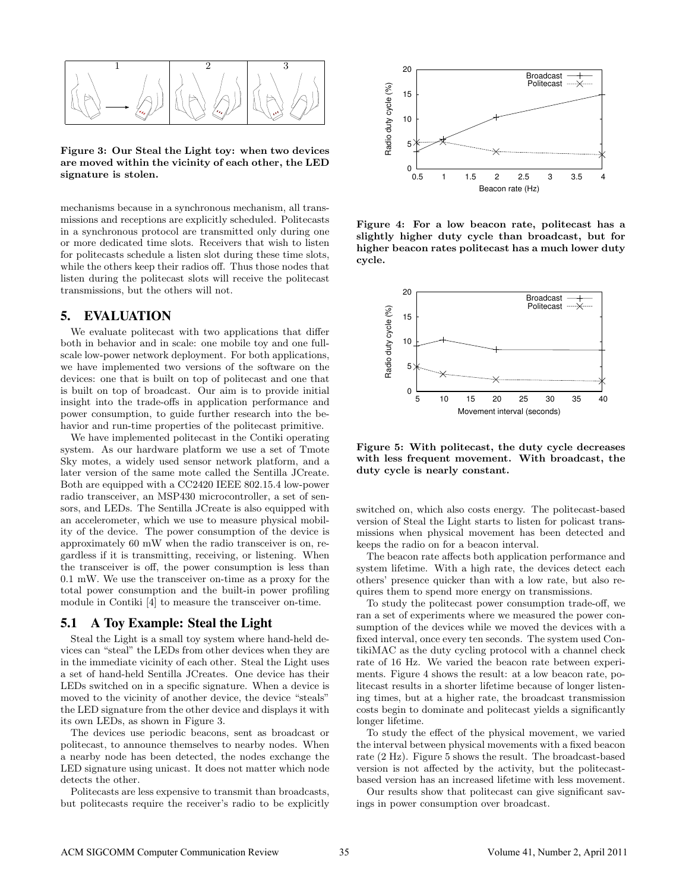

Figure 3: Our Steal the Light toy: when two devices are moved within the vicinity of each other, the LED signature is stolen.

mechanisms because in a synchronous mechanism, all transmissions and receptions are explicitly scheduled. Politecasts in a synchronous protocol are transmitted only during one or more dedicated time slots. Receivers that wish to listen for politecasts schedule a listen slot during these time slots, while the others keep their radios off. Thus those nodes that listen during the politecast slots will receive the politecast transmissions, but the others will not.

# 5. EVALUATION

We evaluate politecast with two applications that differ both in behavior and in scale: one mobile toy and one fullscale low-power network deployment. For both applications, we have implemented two versions of the software on the devices: one that is built on top of politecast and one that is built on top of broadcast. Our aim is to provide initial insight into the trade-offs in application performance and power consumption, to guide further research into the behavior and run-time properties of the politecast primitive.

We have implemented politecast in the Contiki operating system. As our hardware platform we use a set of Tmote Sky motes, a widely used sensor network platform, and a later version of the same mote called the Sentilla JCreate. Both are equipped with a CC2420 IEEE 802.15.4 low-power radio transceiver, an MSP430 microcontroller, a set of sensors, and LEDs. The Sentilla JCreate is also equipped with an accelerometer, which we use to measure physical mobility of the device. The power consumption of the device is approximately 60 mW when the radio transceiver is on, regardless if it is transmitting, receiving, or listening. When the transceiver is off, the power consumption is less than 0.1 mW. We use the transceiver on-time as a proxy for the total power consumption and the built-in power profiling module in Contiki [4] to measure the transceiver on-time.

#### 5.1 A Toy Example: Steal the Light

Steal the Light is a small toy system where hand-held devices can "steal" the LEDs from other devices when they are in the immediate vicinity of each other. Steal the Light uses a set of hand-held Sentilla JCreates. One device has their LEDs switched on in a specific signature. When a device is moved to the vicinity of another device, the device "steals" the LED signature from the other device and displays it with its own LEDs, as shown in Figure 3.

The devices use periodic beacons, sent as broadcast or politecast, to announce themselves to nearby nodes. When a nearby node has been detected, the nodes exchange the LED signature using unicast. It does not matter which node detects the other.

Politecasts are less expensive to transmit than broadcasts, but politecasts require the receiver's radio to be explicitly



Figure 4: For a low beacon rate, politecast has a slightly higher duty cycle than broadcast, but for higher beacon rates politecast has a much lower duty cycle.



Figure 5: With politecast, the duty cycle decreases with less frequent movement. With broadcast, the duty cycle is nearly constant.

switched on, which also costs energy. The politecast-based version of Steal the Light starts to listen for policast transmissions when physical movement has been detected and keeps the radio on for a beacon interval.

The beacon rate affects both application performance and system lifetime. With a high rate, the devices detect each others' presence quicker than with a low rate, but also requires them to spend more energy on transmissions.

To study the politecast power consumption trade-off, we ran a set of experiments where we measured the power consumption of the devices while we moved the devices with a fixed interval, once every ten seconds. The system used ContikiMAC as the duty cycling protocol with a channel check rate of 16 Hz. We varied the beacon rate between experiments. Figure 4 shows the result: at a low beacon rate, politecast results in a shorter lifetime because of longer listening times, but at a higher rate, the broadcast transmission costs begin to dominate and politecast yields a significantly longer lifetime.

To study the effect of the physical movement, we varied the interval between physical movements with a fixed beacon rate (2 Hz). Figure 5 shows the result. The broadcast-based version is not affected by the activity, but the politecastbased version has an increased lifetime with less movement.

Our results show that politecast can give significant savings in power consumption over broadcast.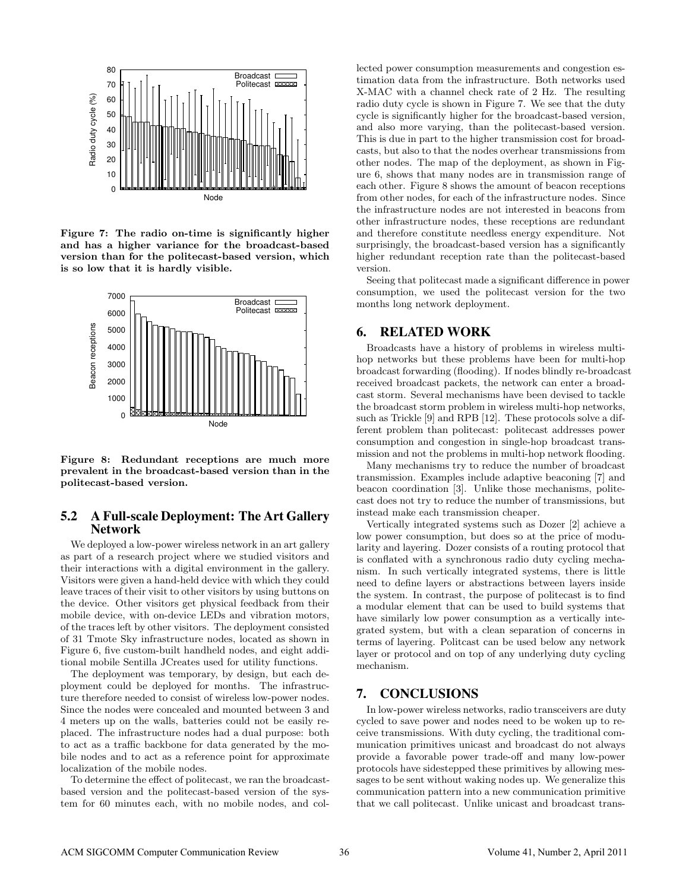

Figure 7: The radio on-time is significantly higher and has a higher variance for the broadcast-based version than for the politecast-based version, which is so low that it is hardly visible.



Figure 8: Redundant receptions are much more prevalent in the broadcast-based version than in the politecast-based version.

## 5.2 A Full-scale Deployment: The Art Gallery Network

We deployed a low-power wireless network in an art gallery as part of a research project where we studied visitors and their interactions with a digital environment in the gallery. Visitors were given a hand-held device with which they could leave traces of their visit to other visitors by using buttons on the device. Other visitors get physical feedback from their mobile device, with on-device LEDs and vibration motors, of the traces left by other visitors. The deployment consisted of 31 Tmote Sky infrastructure nodes, located as shown in Figure 6, five custom-built handheld nodes, and eight additional mobile Sentilla JCreates used for utility functions.

The deployment was temporary, by design, but each deployment could be deployed for months. The infrastructure therefore needed to consist of wireless low-power nodes. Since the nodes were concealed and mounted between 3 and 4 meters up on the walls, batteries could not be easily replaced. The infrastructure nodes had a dual purpose: both to act as a traffic backbone for data generated by the mobile nodes and to act as a reference point for approximate localization of the mobile nodes.

To determine the effect of politecast, we ran the broadcastbased version and the politecast-based version of the system for 60 minutes each, with no mobile nodes, and collected power consumption measurements and congestion estimation data from the infrastructure. Both networks used X-MAC with a channel check rate of 2 Hz. The resulting radio duty cycle is shown in Figure 7. We see that the duty cycle is significantly higher for the broadcast-based version, and also more varying, than the politecast-based version. This is due in part to the higher transmission cost for broadcasts, but also to that the nodes overhear transmissions from other nodes. The map of the deployment, as shown in Figure 6, shows that many nodes are in transmission range of each other. Figure 8 shows the amount of beacon receptions from other nodes, for each of the infrastructure nodes. Since the infrastructure nodes are not interested in beacons from other infrastructure nodes, these receptions are redundant and therefore constitute needless energy expenditure. Not surprisingly, the broadcast-based version has a significantly higher redundant reception rate than the politecast-based version.

Seeing that politecast made a significant difference in power consumption, we used the politecast version for the two months long network deployment.

#### 6. RELATED WORK

Broadcasts have a history of problems in wireless multihop networks but these problems have been for multi-hop broadcast forwarding (flooding). If nodes blindly re-broadcast received broadcast packets, the network can enter a broadcast storm. Several mechanisms have been devised to tackle the broadcast storm problem in wireless multi-hop networks, such as Trickle [9] and RPB [12]. These protocols solve a different problem than politecast: politecast addresses power consumption and congestion in single-hop broadcast transmission and not the problems in multi-hop network flooding.

Many mechanisms try to reduce the number of broadcast transmission. Examples include adaptive beaconing [7] and beacon coordination [3]. Unlike those mechanisms, politecast does not try to reduce the number of transmissions, but instead make each transmission cheaper.

Vertically integrated systems such as Dozer [2] achieve a low power consumption, but does so at the price of modularity and layering. Dozer consists of a routing protocol that is conflated with a synchronous radio duty cycling mechanism. In such vertically integrated systems, there is little need to define layers or abstractions between layers inside the system. In contrast, the purpose of politecast is to find a modular element that can be used to build systems that have similarly low power consumption as a vertically integrated system, but with a clean separation of concerns in terms of layering. Politcast can be used below any network layer or protocol and on top of any underlying duty cycling mechanism.

## 7. CONCLUSIONS

In low-power wireless networks, radio transceivers are duty cycled to save power and nodes need to be woken up to receive transmissions. With duty cycling, the traditional communication primitives unicast and broadcast do not always provide a favorable power trade-off and many low-power protocols have sidestepped these primitives by allowing messages to be sent without waking nodes up. We generalize this communication pattern into a new communication primitive that we call politecast. Unlike unicast and broadcast trans-